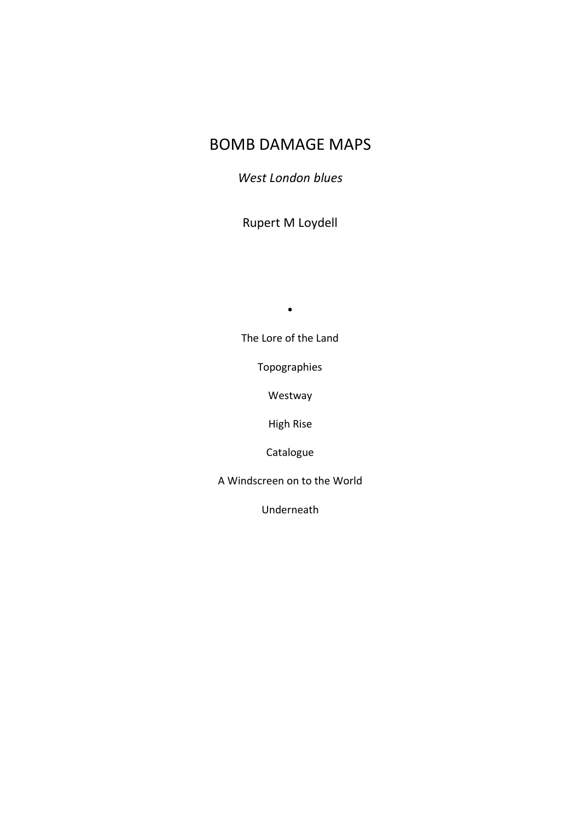# BOMB DAMAGE MAPS

*West London blues*

Rupert M Loydell

•

The Lore of the Land

Topographies

Westway

High Rise

Catalogue

A Windscreen on to the World

Underneath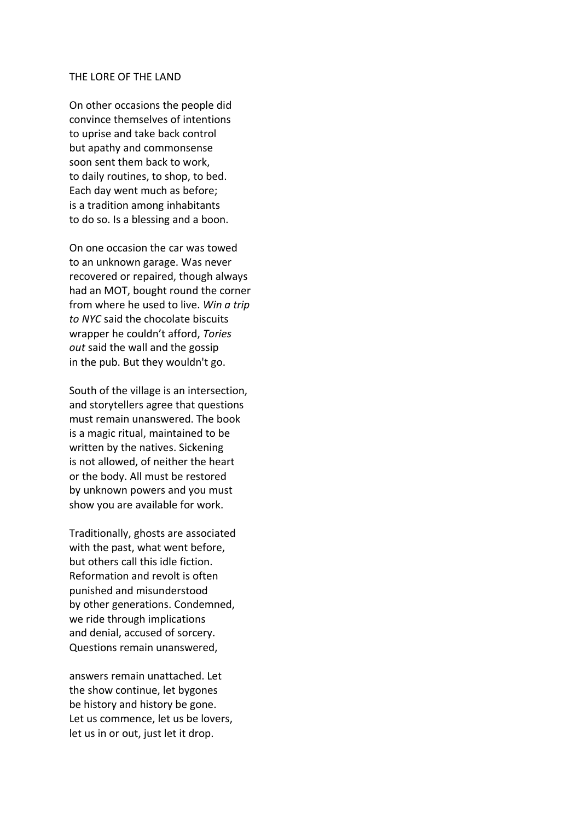#### THE LORE OF THE LAND

On other occasions the people did convince themselves of intentions to uprise and take back control but apathy and commonsense soon sent them back to work, to daily routines, to shop, to bed. Each day went much as before; is a tradition among inhabitants to do so. Is a blessing and a boon.

On one occasion the car was towed to an unknown garage. Was never recovered or repaired, though always had an MOT, bought round the corner from where he used to live. *Win a trip to NYC* said the chocolate biscuits wrapper he couldn't afford, *Tories out* said the wall and the gossip in the pub. But they wouldn't go.

South of the village is an intersection, and storytellers agree that questions must remain unanswered. The book is a magic ritual, maintained to be written by the natives. Sickening is not allowed, of neither the heart or the body. All must be restored by unknown powers and you must show you are available for work.

Traditionally, ghosts are associated with the past, what went before, but others call this idle fiction. Reformation and revolt is often punished and misunderstood by other generations. Condemned, we ride through implications and denial, accused of sorcery. Questions remain unanswered,

answers remain unattached. Let the show continue, let bygones be history and history be gone. Let us commence, let us be lovers, let us in or out, just let it drop.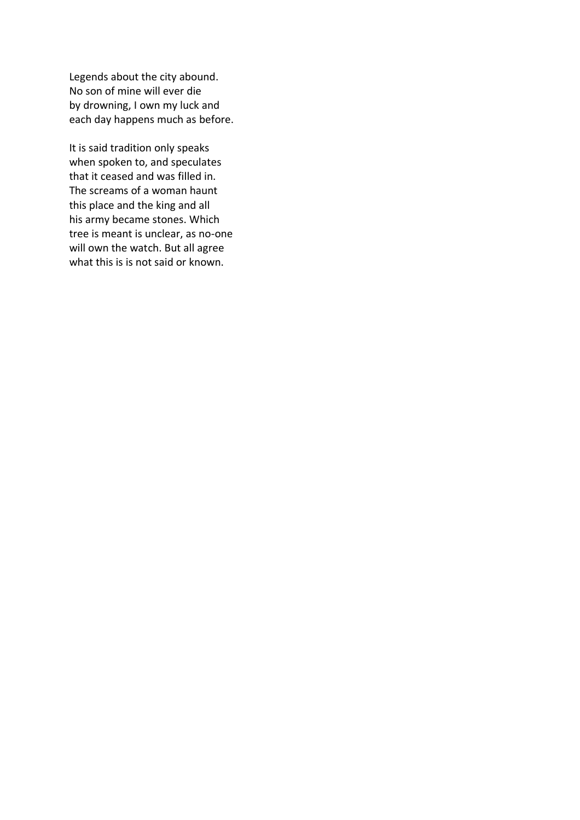Legends about the city abound. No son of mine will ever die by drowning, I own my luck and each day happens much as before.

It is said tradition only speaks when spoken to, and speculates that it ceased and was filled in. The screams of a woman haunt this place and the king and all his army became stones. Which tree is meant is unclear, as no-one will own the watch. But all agree what this is is not said or known.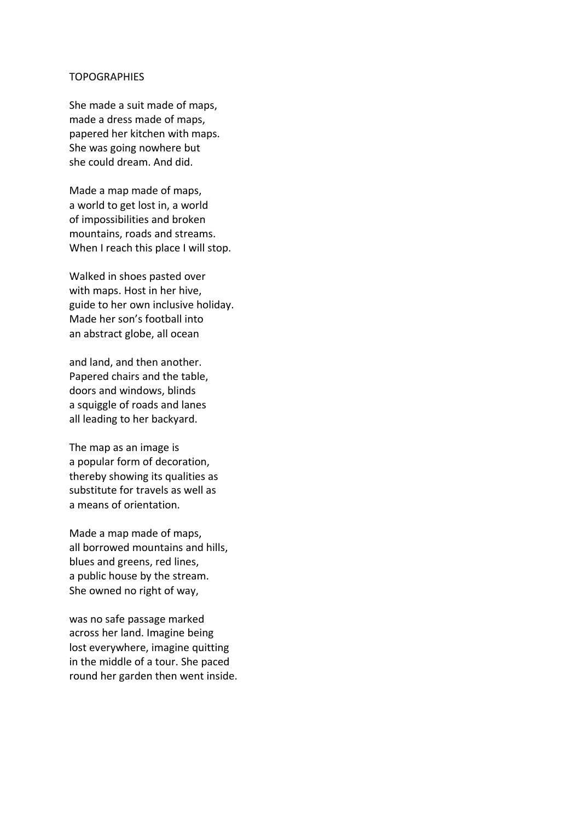#### TOPOGRAPHIES

She made a suit made of maps, made a dress made of maps, papered her kitchen with maps. She was going nowhere but she could dream. And did.

Made a map made of maps, a world to get lost in, a world of impossibilities and broken mountains, roads and streams. When I reach this place I will stop.

Walked in shoes pasted over with maps. Host in her hive, guide to her own inclusive holiday. Made her son's football into an abstract globe, all ocean

and land, and then another. Papered chairs and the table, doors and windows, blinds a squiggle of roads and lanes all leading to her backyard.

The map as an image is a popular form of decoration, thereby showing its qualities as substitute for travels as well as a means of orientation.

Made a map made of maps, all borrowed mountains and hills, blues and greens, red lines, a public house by the stream. She owned no right of way,

was no safe passage marked across her land. Imagine being lost everywhere, imagine quitting in the middle of a tour. She paced round her garden then went inside.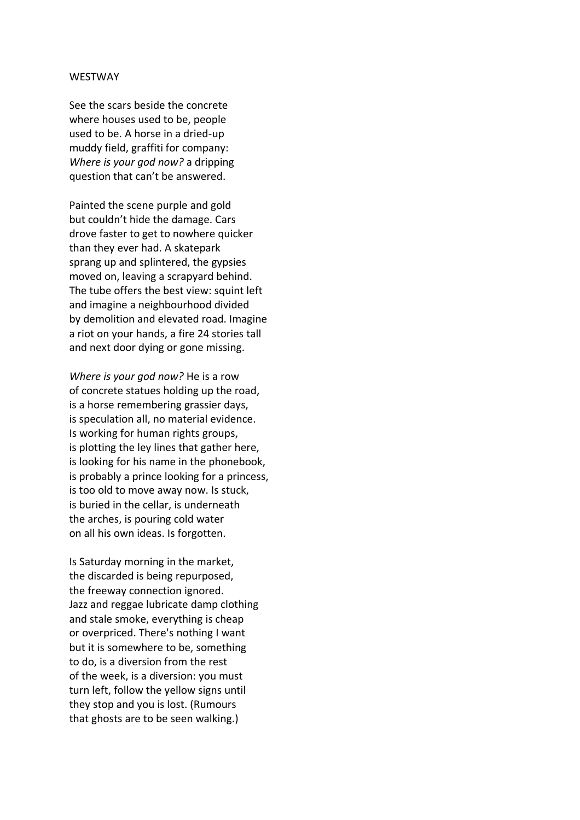#### WESTWAY

See the scars beside the concrete where houses used to be, people used to be. A horse in a dried-up muddy field, graffiti for company: *Where is your god now?* a dripping question that can't be answered.

Painted the scene purple and gold but couldn't hide the damage. Cars drove faster to get to nowhere quicker than they ever had. A skatepark sprang up and splintered, the gypsies moved on, leaving a scrapyard behind. The tube offers the best view: squint left and imagine a neighbourhood divided by demolition and elevated road. Imagine a riot on your hands, a fire 24 stories tall and next door dying or gone missing.

*Where is your god now?* He is a row of concrete statues holding up the road, is a horse remembering grassier days, is speculation all, no material evidence. Is working for human rights groups, is plotting the ley lines that gather here, is looking for his name in the phonebook, is probably a prince looking for a princess, is too old to move away now. Is stuck, is buried in the cellar, is underneath the arches, is pouring cold water on all his own ideas. Is forgotten.

Is Saturday morning in the market, the discarded is being repurposed, the freeway connection ignored. Jazz and reggae lubricate damp clothing and stale smoke, everything is cheap or overpriced. There's nothing I want but it is somewhere to be, something to do, is a diversion from the rest of the week, is a diversion: you must turn left, follow the yellow signs until they stop and you is lost. (Rumours that ghosts are to be seen walking.)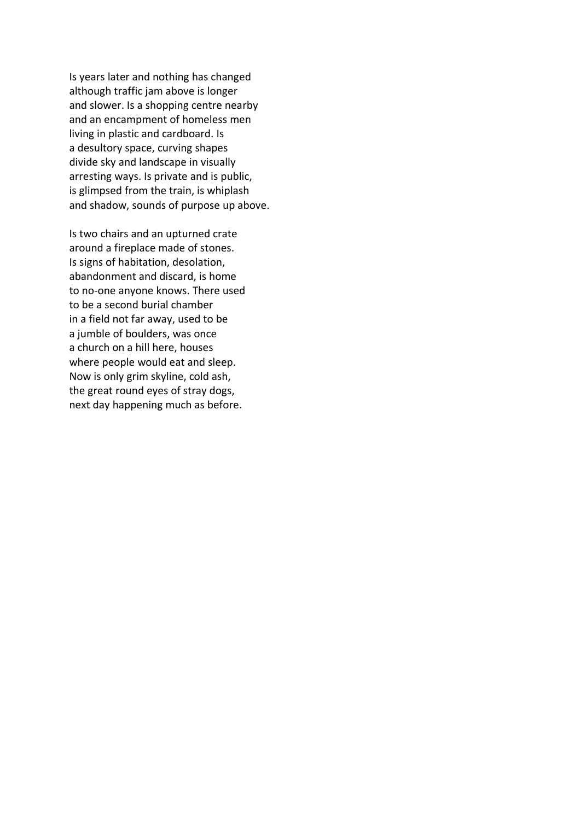Is years later and nothing has changed although traffic jam above is longer and slower. Is a shopping centre nearby and an encampment of homeless men living in plastic and cardboard. Is a desultory space, curving shapes divide sky and landscape in visually arresting ways. Is private and is public, is glimpsed from the train, is whiplash and shadow, sounds of purpose up above.

Is two chairs and an upturned crate around a fireplace made of stones. Is signs of habitation, desolation, abandonment and discard, is home to no-one anyone knows. There used to be a second burial chamber in a field not far away, used to be a jumble of boulders, was once a church on a hill here, houses where people would eat and sleep. Now is only grim skyline, cold ash, the great round eyes of stray dogs, next day happening much as before.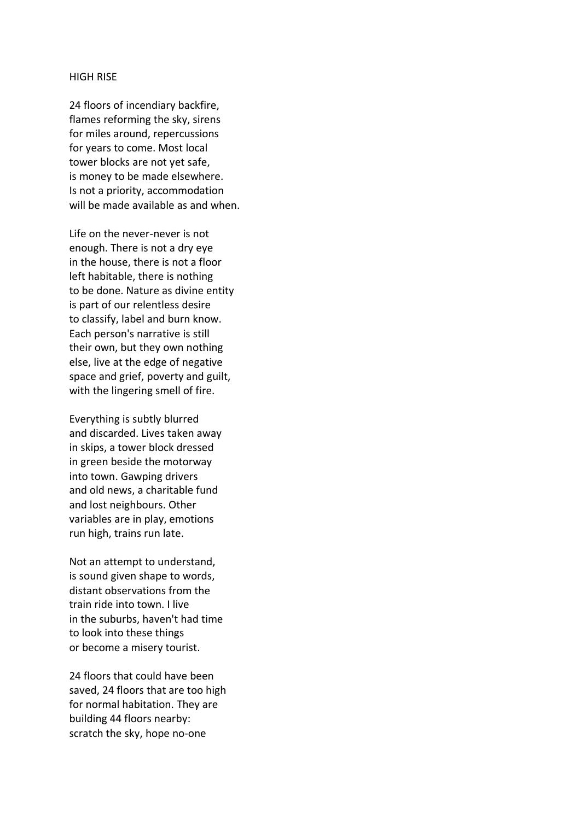#### HIGH RISE

24 floors of incendiary backfire, flames reforming the sky, sirens for miles around, repercussions for years to come. Most local tower blocks are not yet safe, is money to be made elsewhere. Is not a priority, accommodation will be made available as and when.

Life on the never-never is not enough. There is not a dry eye in the house, there is not a floor left habitable, there is nothing to be done. Nature as divine entity is part of our relentless desire to classify, label and burn know. Each person's narrative is still their own, but they own nothing else, live at the edge of negative space and grief, poverty and guilt, with the lingering smell of fire.

Everything is subtly blurred and discarded. Lives taken away in skips, a tower block dressed in green beside the motorway into town. Gawping drivers and old news, a charitable fund and lost neighbours. Other variables are in play, emotions run high, trains run late.

Not an attempt to understand, is sound given shape to words, distant observations from the train ride into town. I live in the suburbs, haven't had time to look into these things or become a misery tourist.

24 floors that could have been saved, 24 floors that are too high for normal habitation. They are building 44 floors nearby: scratch the sky, hope no-one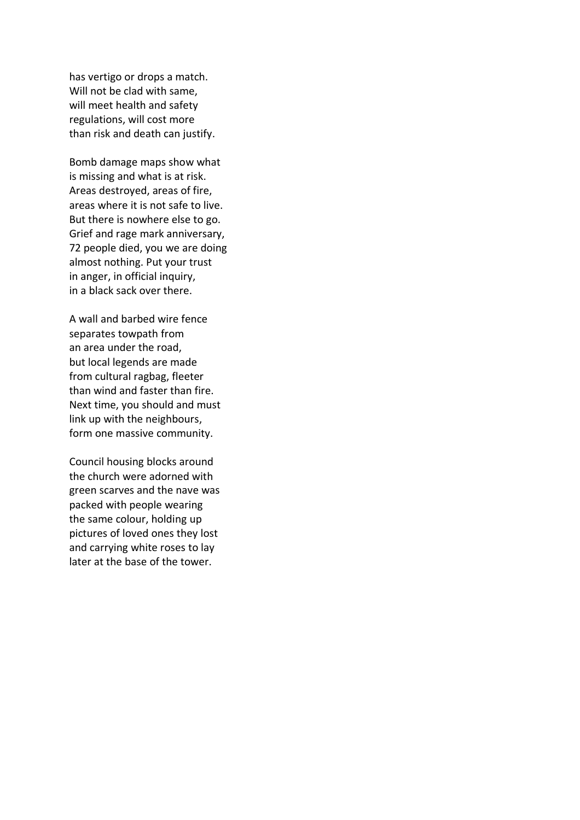has vertigo or drops a match. Will not be clad with same, will meet health and safety regulations, will cost more than risk and death can justify.

Bomb damage maps show what is missing and what is at risk. Areas destroyed, areas of fire, areas where it is not safe to live. But there is nowhere else to go. Grief and rage mark anniversary, 72 people died, you we are doing almost nothing. Put your trust in anger, in official inquiry, in a black sack over there.

A wall and barbed wire fence separates towpath from an area under the road, but local legends are made from cultural ragbag, fleeter than wind and faster than fire. Next time, you should and must link up with the neighbours, form one massive community.

Council housing blocks around the church were adorned with green scarves and the nave was packed with people wearing the same colour, holding up pictures of loved ones they lost and carrying white roses to lay later at the base of the tower.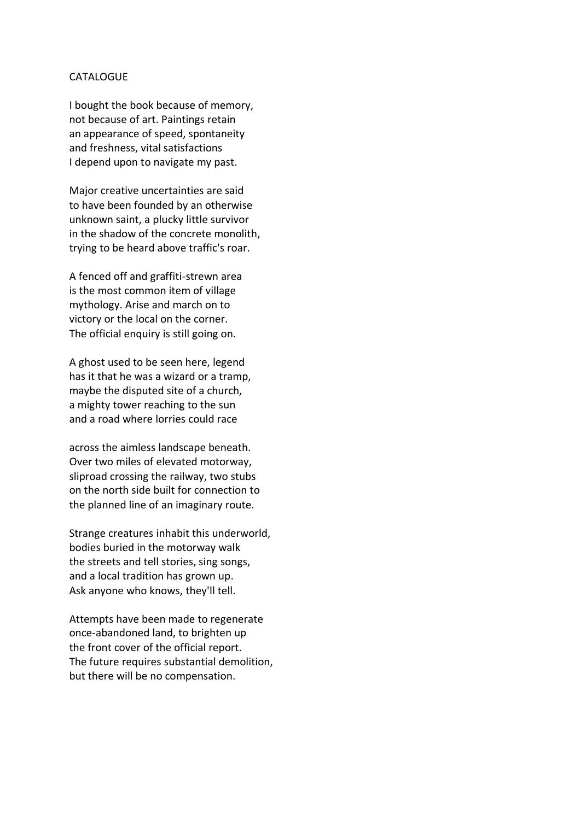### **CATALOGUE**

I bought the book because of memory, not because of art. Paintings retain an appearance of speed, spontaneity and freshness, vital satisfactions I depend upon to navigate my past.

Major creative uncertainties are said to have been founded by an otherwise unknown saint, a plucky little survivor in the shadow of the concrete monolith, trying to be heard above traffic's roar.

A fenced off and graffiti-strewn area is the most common item of village mythology. Arise and march on to victory or the local on the corner. The official enquiry is still going on.

A ghost used to be seen here, legend has it that he was a wizard or a tramp, maybe the disputed site of a church, a mighty tower reaching to the sun and a road where lorries could race

across the aimless landscape beneath. Over two miles of elevated motorway, sliproad crossing the railway, two stubs on the north side built for connection to the planned line of an imaginary route.

Strange creatures inhabit this underworld, bodies buried in the motorway walk the streets and tell stories, sing songs, and a local tradition has grown up. Ask anyone who knows, they'll tell.

Attempts have been made to regenerate once-abandoned land, to brighten up the front cover of the official report. The future requires substantial demolition, but there will be no compensation.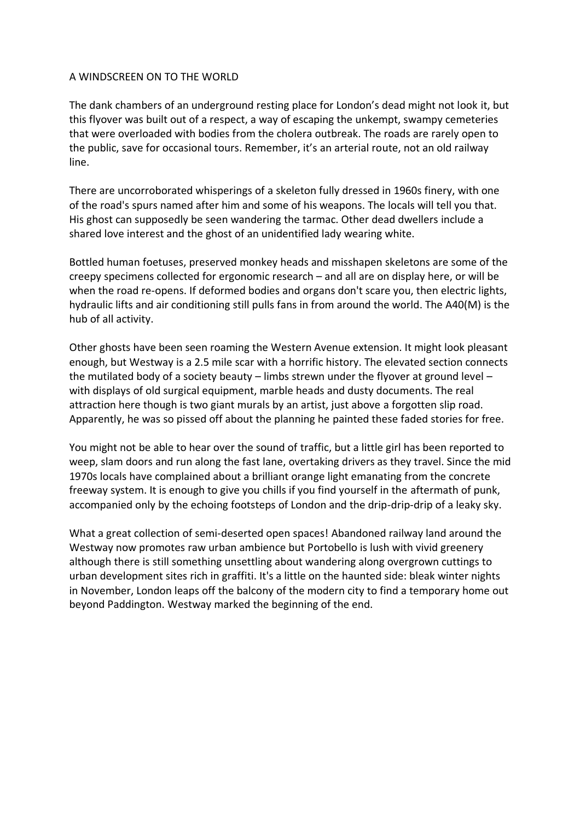## A WINDSCREEN ON TO THE WORLD

The dank chambers of an underground resting place for London's dead might not look it, but this flyover was built out of a respect, a way of escaping the unkempt, swampy cemeteries that were overloaded with bodies from the cholera outbreak. The roads are rarely open to the public, save for occasional tours. Remember, it's an arterial route, not an old railway line.

There are uncorroborated whisperings of a skeleton fully dressed in 1960s finery, with one of the road's spurs named after him and some of his weapons. The locals will tell you that. His ghost can supposedly be seen wandering the tarmac. Other dead dwellers include a shared love interest and the ghost of an unidentified lady wearing white.

Bottled human foetuses, preserved monkey heads and misshapen skeletons are some of the creepy specimens collected for ergonomic research – and all are on display here, or will be when the road re-opens. If deformed bodies and organs don't scare you, then electric lights, hydraulic lifts and air conditioning still pulls fans in from around the world. The A40(M) is the hub of all activity.

Other ghosts have been seen roaming the Western Avenue extension. It might look pleasant enough, but Westway is a 2.5 mile scar with a horrific history. The elevated section connects the mutilated body of a society beauty – limbs strewn under the flyover at ground level – with displays of old surgical equipment, marble heads and dusty documents. The real attraction here though is two giant murals by an artist, just above a forgotten slip road. Apparently, he was so pissed off about the planning he painted these faded stories for free.

You might not be able to hear over the sound of traffic, but a little girl has been reported to weep, slam doors and run along the fast lane, overtaking drivers as they travel. Since the mid 1970s locals have complained about a brilliant orange light emanating from the concrete freeway system. It is enough to give you chills if you find yourself in the aftermath of punk, accompanied only by the echoing footsteps of London and the drip-drip-drip of a leaky sky.

What a great collection of semi-deserted open spaces! Abandoned railway land around the Westway now promotes raw urban ambience but Portobello is lush with vivid greenery although there is still something unsettling about wandering along overgrown cuttings to urban development sites rich in graffiti. It's a little on the haunted side: bleak winter nights in November, London leaps off the balcony of the modern city to find a temporary home out beyond Paddington. Westway marked the beginning of the end.